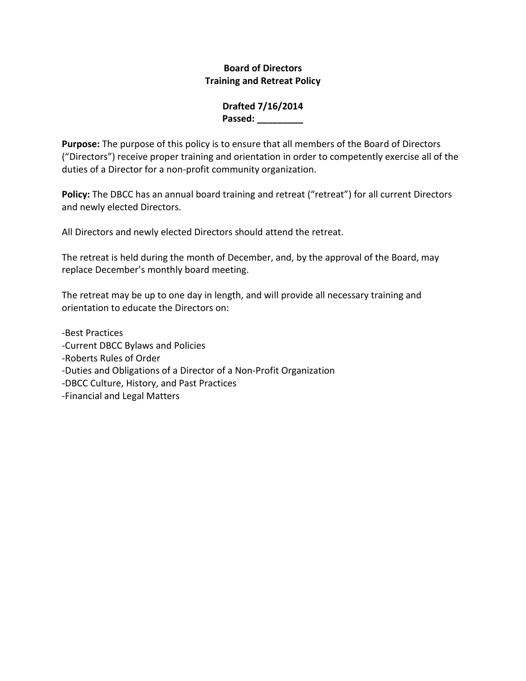### **Board of Directors Training and Retreat Policy**

### **Drafted 7/16/2014 Passed: \_\_\_\_\_\_\_\_\_**

**Purpose:** The purpose of this policy is to ensure that all members of the Board of Directors ("Directors") receive proper training and orientation in order to competently exercise all of the duties of a Director for a non-profit community organization.

Policy: The DBCC has an annual board training and retreat ("retreat") for all current Directors and newly elected Directors.

All Directors and newly elected Directors should attend the retreat.

The retreat is held during the month of December, and, by the approval of the Board, may replace December's monthly board meeting.

The retreat may be up to one day in length, and will provide all necessary training and orientation to educate the Directors on:

-Best Practices -Current DBCC Bylaws and Policies -Roberts Rules of Order -Duties and Obligations of a Director of a Non-Profit Organization -DBCC Culture, History, and Past Practices -Financial and Legal Matters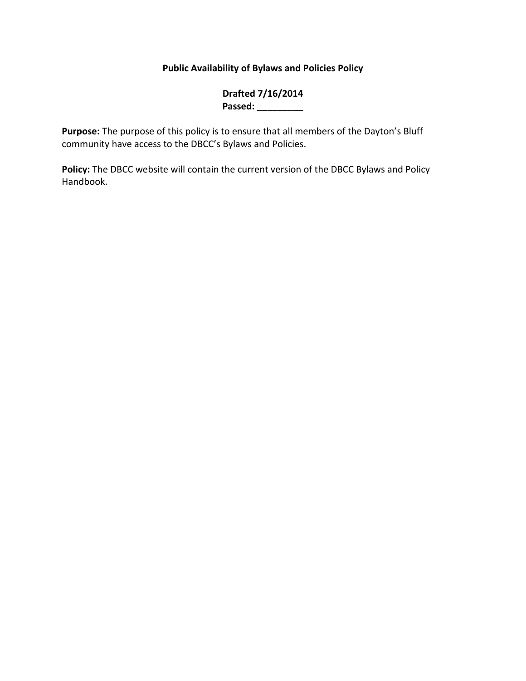# **Public Availability of Bylaws and Policies Policy**

## **Drafted 7/16/2014 Passed: \_\_\_\_\_\_\_\_\_**

**Purpose:** The purpose of this policy is to ensure that all members of the Dayton's Bluff community have access to the DBCC's Bylaws and Policies.

**Policy:** The DBCC website will contain the current version of the DBCC Bylaws and Policy Handbook.